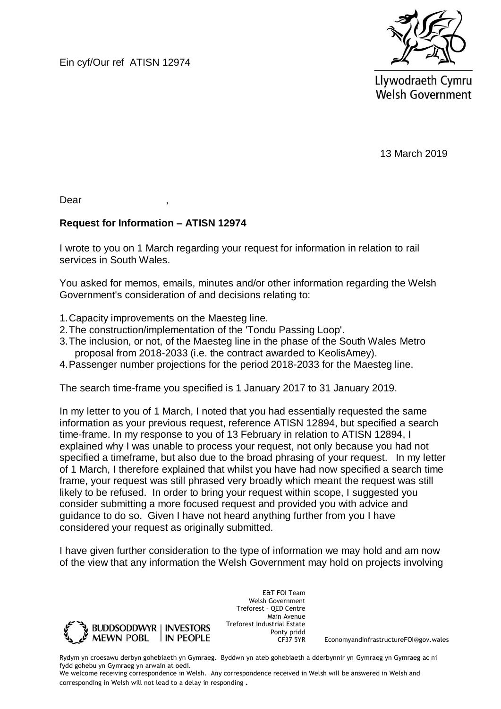Ein cyf/Our ref ATISN 12974



Llywodraeth Cymru **Welsh Government** 

13 March 2019

Dear ,

## **Request for Information – ATISN 12974**

I wrote to you on 1 March regarding your request for information in relation to rail services in South Wales.

You asked for memos, emails, minutes and/or other information regarding the Welsh Government's consideration of and decisions relating to:

- 1.Capacity improvements on the Maesteg line.
- 2.The construction/implementation of the 'Tondu Passing Loop'.
- 3.The inclusion, or not, of the Maesteg line in the phase of the South Wales Metro proposal from 2018-2033 (i.e. the contract awarded to KeolisAmey).
- 4.Passenger number projections for the period 2018-2033 for the Maesteg line.

The search time-frame you specified is 1 January 2017 to 31 January 2019.

In my letter to you of 1 March, I noted that you had essentially requested the same information as your previous request, reference ATISN 12894, but specified a search time-frame. In my response to you of 13 February in relation to ATISN 12894, I explained why I was unable to process your request, not only because you had not specified a timeframe, but also due to the broad phrasing of your request. In my letter of 1 March, I therefore explained that whilst you have had now specified a search time frame, your request was still phrased very broadly which meant the request was still likely to be refused. In order to bring your request within scope, I suggested you consider submitting a more focused request and provided you with advice and guidance to do so. Given I have not heard anything further from you I have considered your request as originally submitted.

I have given further consideration to the type of information we may hold and am now of the view that any information the Welsh Government may hold on projects involving



E&T FOI Team Welsh Government Treforest – QED Centre Main Avenue Treforest Industrial Estate Ponty pridd<br>CF37 5YR

EconomyandInfrastructureFOI@gov.wales

Rydym yn croesawu derbyn gohebiaeth yn Gymraeg. Byddwn yn ateb gohebiaeth a dderbynnir yn Gymraeg yn Gymraeg ac ni fydd gohebu yn Gymraeg yn arwain at oedi.

We welcome receiving correspondence in Welsh. Any correspondence received in Welsh will be answered in Welsh and corresponding in Welsh will not lead to a delay in responding.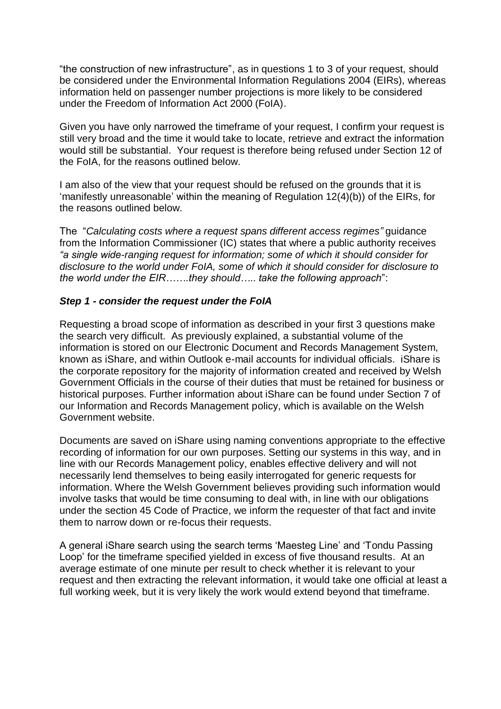"the construction of new infrastructure", as in questions 1 to 3 of your request, should be considered under the Environmental Information Regulations 2004 (EIRs), whereas information held on passenger number projections is more likely to be considered under the Freedom of Information Act 2000 (FoIA).

Given you have only narrowed the timeframe of your request, I confirm your request is still very broad and the time it would take to locate, retrieve and extract the information would still be substantial. Your request is therefore being refused under Section 12 of the FoIA, for the reasons outlined below.

I am also of the view that your request should be refused on the grounds that it is 'manifestly unreasonable' within the meaning of Regulation 12(4)(b)) of the EIRs, for the reasons outlined below.

The "*Calculating costs where a request spans different access regimes"* guidance from the Information Commissioner (IC) states that where a public authority receives *"a single wide-ranging request for information; some of which it should consider for disclosure to the world under FoIA, some of which it should consider for disclosure to the world under the EIR…….they should….. take the following approach*":

## *Step 1 - consider the request under the FoIA*

Requesting a broad scope of information as described in your first 3 questions make the search very difficult. As previously explained, a substantial volume of the information is stored on our Electronic Document and Records Management System, known as iShare, and within Outlook e-mail accounts for individual officials. iShare is the corporate repository for the majority of information created and received by Welsh Government Officials in the course of their duties that must be retained for business or historical purposes. Further information about iShare can be found under Section 7 of our Information and Records Management policy, which is available on the Welsh Government website.

Documents are saved on iShare using naming conventions appropriate to the effective recording of information for our own purposes. Setting our systems in this way, and in line with our Records Management policy, enables effective delivery and will not necessarily lend themselves to being easily interrogated for generic requests for information. Where the Welsh Government believes providing such information would involve tasks that would be time consuming to deal with, in line with our obligations under the section 45 Code of Practice, we inform the requester of that fact and invite them to narrow down or re-focus their requests.

A general iShare search using the search terms 'Maesteg Line' and 'Tondu Passing Loop' for the timeframe specified yielded in excess of five thousand results. At an average estimate of one minute per result to check whether it is relevant to your request and then extracting the relevant information, it would take one official at least a full working week, but it is very likely the work would extend beyond that timeframe.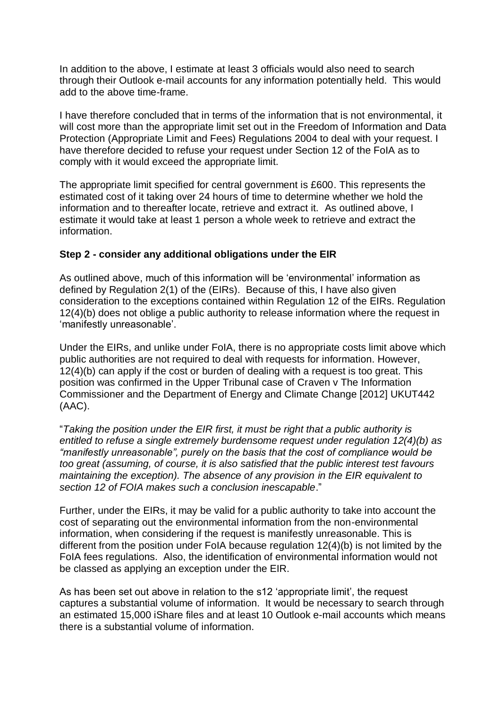In addition to the above, I estimate at least 3 officials would also need to search through their Outlook e-mail accounts for any information potentially held. This would add to the above time-frame.

I have therefore concluded that in terms of the information that is not environmental, it will cost more than the appropriate limit set out in the Freedom of Information and Data Protection (Appropriate Limit and Fees) Regulations 2004 to deal with your request. I have therefore decided to refuse your request under Section 12 of the FoIA as to comply with it would exceed the appropriate limit.

The appropriate limit specified for central government is £600. This represents the estimated cost of it taking over 24 hours of time to determine whether we hold the information and to thereafter locate, retrieve and extract it. As outlined above, I estimate it would take at least 1 person a whole week to retrieve and extract the information.

## **Step 2 - consider any additional obligations under the EIR**

As outlined above, much of this information will be 'environmental' information as defined by Regulation 2(1) of the (EIRs). Because of this, I have also given consideration to the exceptions contained within Regulation 12 of the EIRs. Regulation 12(4)(b) does not oblige a public authority to release information where the request in 'manifestly unreasonable'.

Under the EIRs, and unlike under FoIA, there is no appropriate costs limit above which public authorities are not required to deal with requests for information. However, 12(4)(b) can apply if the cost or burden of dealing with a request is too great. This position was confirmed in the Upper Tribunal case of Craven v The Information Commissioner and the Department of Energy and Climate Change [2012] UKUT442 (AAC).

"*Taking the position under the EIR first, it must be right that a public authority is entitled to refuse a single extremely burdensome request under regulation 12(4)(b) as "manifestly unreasonable", purely on the basis that the cost of compliance would be too great (assuming, of course, it is also satisfied that the public interest test favours maintaining the exception). The absence of any provision in the EIR equivalent to section 12 of FOIA makes such a conclusion inescapable*."

Further, under the EIRs, it may be valid for a public authority to take into account the cost of separating out the environmental information from the non-environmental information, when considering if the request is manifestly unreasonable. This is different from the position under FoIA because regulation 12(4)(b) is not limited by the FoIA fees regulations. Also, the identification of environmental information would not be classed as applying an exception under the EIR.

As has been set out above in relation to the s12 'appropriate limit', the request captures a substantial volume of information. It would be necessary to search through an estimated 15,000 iShare files and at least 10 Outlook e-mail accounts which means there is a substantial volume of information.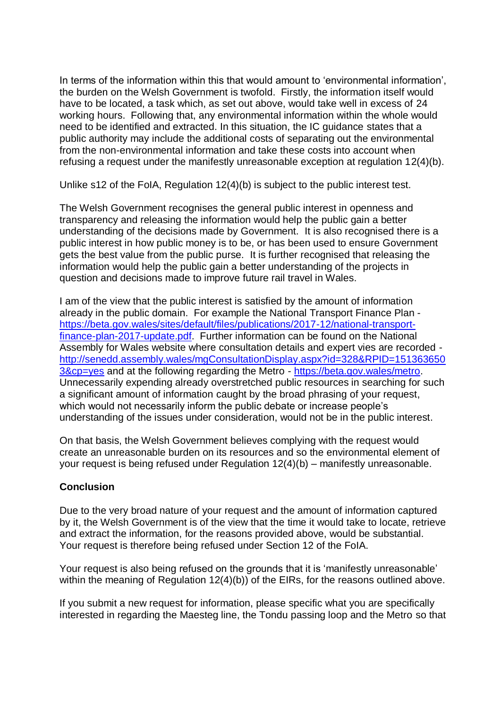In terms of the information within this that would amount to 'environmental information', the burden on the Welsh Government is twofold. Firstly, the information itself would have to be located, a task which, as set out above, would take well in excess of 24 working hours. Following that, any environmental information within the whole would need to be identified and extracted. In this situation, the IC guidance states that a public authority may include the additional costs of separating out the environmental from the non-environmental information and take these costs into account when refusing a request under the manifestly unreasonable exception at regulation 12(4)(b).

Unlike s12 of the FoIA, Regulation 12(4)(b) is subject to the public interest test.

The Welsh Government recognises the general public interest in openness and transparency and releasing the information would help the public gain a better understanding of the decisions made by Government. It is also recognised there is a public interest in how public money is to be, or has been used to ensure Government gets the best value from the public purse. It is further recognised that releasing the information would help the public gain a better understanding of the projects in question and decisions made to improve future rail travel in Wales.

I am of the view that the public interest is satisfied by the amount of information already in the public domain. For example the National Transport Finance Plan [https://beta.gov.wales/sites/default/files/publications/2017-12/national-transport](https://beta.gov.wales/sites/default/files/publications/2017-12/national-transport-finance-plan-2017-update.pdf)[finance-plan-2017-update.pdf.](https://beta.gov.wales/sites/default/files/publications/2017-12/national-transport-finance-plan-2017-update.pdf) Further information can be found on the National Assembly for Wales website where consultation details and expert vies are recorded [http://senedd.assembly.wales/mgConsultationDisplay.aspx?id=328&RPID=151363650](http://senedd.assembly.wales/mgConsultationDisplay.aspx?id=328&RPID=1513636503&cp=yes) [3&cp=yes](http://senedd.assembly.wales/mgConsultationDisplay.aspx?id=328&RPID=1513636503&cp=yes) and at the following regarding the Metro - [https://beta.gov.wales/metro.](https://beta.gov.wales/metro) Unnecessarily expending already overstretched public resources in searching for such a significant amount of information caught by the broad phrasing of your request, which would not necessarily inform the public debate or increase people's understanding of the issues under consideration, would not be in the public interest.

On that basis, the Welsh Government believes complying with the request would create an unreasonable burden on its resources and so the environmental element of your request is being refused under Regulation 12(4)(b) – manifestly unreasonable.

## **Conclusion**

Due to the very broad nature of your request and the amount of information captured by it, the Welsh Government is of the view that the time it would take to locate, retrieve and extract the information, for the reasons provided above, would be substantial. Your request is therefore being refused under Section 12 of the FoIA.

Your request is also being refused on the grounds that it is 'manifestly unreasonable' within the meaning of Regulation 12(4)(b)) of the EIRs, for the reasons outlined above.

If you submit a new request for information, please specific what you are specifically interested in regarding the Maesteg line, the Tondu passing loop and the Metro so that